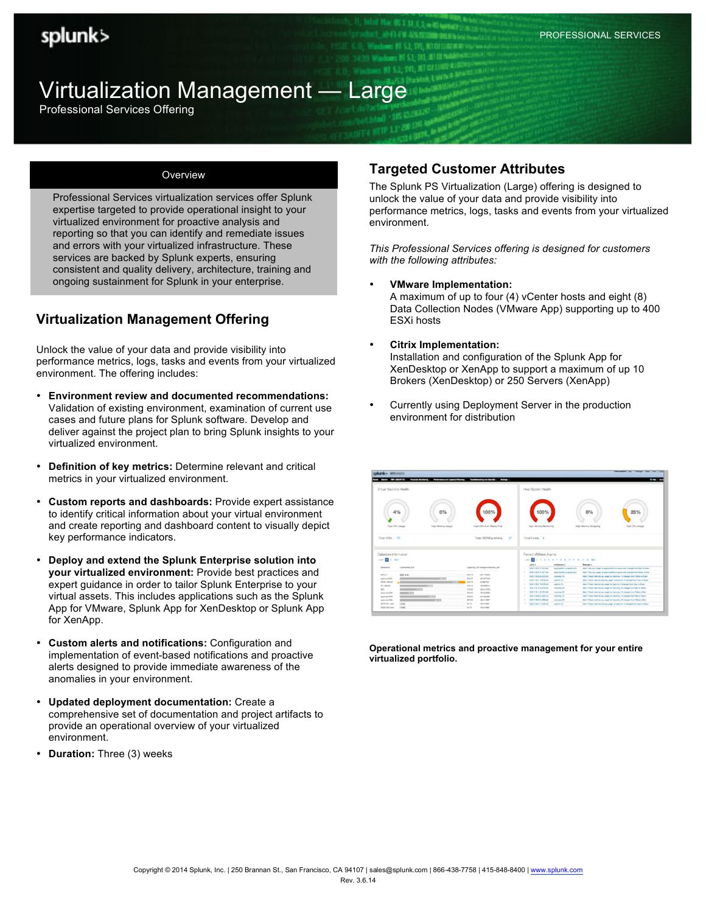# Virtualization Management — Large

Professional Services Offering

#### **Overview**

Professional Services virtualization services offer Splunk expertise targeted to provide operational insight to your virtualized environment for proactive analysis and reporting so that you can identify and remediate issues and errors with your virtualized infrastructure. These services are backed by Splunk experts, ensuring consistent and quality delivery, architecture, training and ongoing sustainment for Splunk in your enterprise.

## **Virtualization Management Offering**

Unlock the value of your data and provide visibility into performance metrics, logs, tasks and events from your virtualized environment. The offering includes:

- **Environment review and documented recommendations:**  Validation of existing environment, examination of current use cases and future plans for Splunk software. Develop and deliver against the project plan to bring Splunk insights to your virtualized environment.
- **Definition of key metrics:** Determine relevant and critical metrics in your virtualized environment.
- **Custom reports and dashboards:** Provide expert assistance to identify critical information about your virtual environment and create reporting and dashboard content to visually depict key performance indicators.
- **Deploy and extend the Splunk Enterprise solution into your virtualized environment:** Provide best practices and expert guidance in order to tailor Splunk Enterprise to your virtual assets. This includes applications such as the Splunk App for VMware, Splunk App for XenDesktop or Splunk App for XenApp.
- **Custom alerts and notifications:** Configuration and implementation of event-based notifications and proactive alerts designed to provide immediate awareness of the anomalies in your environment.
- **Updated deployment documentation:** Create a comprehensive set of documentation and project artifacts to provide an operational overview of your virtualized environment.
- **Duration:** Three (3) weeks

## **Targeted Customer Attributes**

The Splunk PS Virtualization (Large) offering is designed to unlock the value of your data and provide visibility into performance metrics, logs, tasks and events from your virtualized environment.

*This Professional Services offering is designed for customers with the following attributes:*

• **VMware Implementation:**

A maximum of up to four (4) vCenter hosts and eight (8) Data Collection Nodes (VMware App) supporting up to 400 ESXi hosts

- **Citrix Implementation:** Installation and configuration of the Splunk App for XenDesktop or XenApp to support a maximum of up 10 Brokers (XenDesktop) or 250 Servers (XenApp)
- Currently using Deployment Server in the production environment for distribution

| splunk> wmware<br>barch 1987 (MODIFTED . Promine Maritaring . Parkersence and Capacity Planning . Traditionalispand Bacarty . Bartings .                                                                                                                                   |                                                                                                                                                                                                                                                                        |                                                                                                                                                                                                                                                                                                                                                                                                                                          | Administrator   The 11 The ages   Auto   prints   prints<br><b><i>B 760 1.80</i></b>                                                                                                                                                                                                                                                                                                                                                                                                                                                                                                                                                                                                                                                               |
|----------------------------------------------------------------------------------------------------------------------------------------------------------------------------------------------------------------------------------------------------------------------------|------------------------------------------------------------------------------------------------------------------------------------------------------------------------------------------------------------------------------------------------------------------------|------------------------------------------------------------------------------------------------------------------------------------------------------------------------------------------------------------------------------------------------------------------------------------------------------------------------------------------------------------------------------------------------------------------------------------------|----------------------------------------------------------------------------------------------------------------------------------------------------------------------------------------------------------------------------------------------------------------------------------------------------------------------------------------------------------------------------------------------------------------------------------------------------------------------------------------------------------------------------------------------------------------------------------------------------------------------------------------------------------------------------------------------------------------------------------------------------|
| Virtual Machine Health                                                                                                                                                                                                                                                     |                                                                                                                                                                                                                                                                        | Host System Health                                                                                                                                                                                                                                                                                                                                                                                                                       |                                                                                                                                                                                                                                                                                                                                                                                                                                                                                                                                                                                                                                                                                                                                                    |
| 0%<br>4%                                                                                                                                                                                                                                                                   | 100%                                                                                                                                                                                                                                                                   | 100%                                                                                                                                                                                                                                                                                                                                                                                                                                     | 25%<br>0%                                                                                                                                                                                                                                                                                                                                                                                                                                                                                                                                                                                                                                                                                                                                          |
| High CPU Usage<br>High Memory Cleape<br>Total VMs: 70                                                                                                                                                                                                                      | High CPU Sun Ready Time<br>Total VM Migrations: 21                                                                                                                                                                                                                     | High Memory Balticring<br>Total Hosts 4                                                                                                                                                                                                                                                                                                                                                                                                  | High Memory Swapping<br>High CPU Usage                                                                                                                                                                                                                                                                                                                                                                                                                                                                                                                                                                                                                                                                                                             |
| Datastore Information                                                                                                                                                                                                                                                      |                                                                                                                                                                                                                                                                        | Recent VMWare Alarms                                                                                                                                                                                                                                                                                                                                                                                                                     |                                                                                                                                                                                                                                                                                                                                                                                                                                                                                                                                                                                                                                                                                                                                                    |
| sport of a more<br>Committed, CA<br><b>Defeature</b>                                                                                                                                                                                                                       | Capachy, Gli Guargeradairman, poli-                                                                                                                                                                                                                                    | 1000 2 2 3 4 5 6 7 8 9 10 11 12 13 14 14 15<br>antiquants in<br><b>See 4</b><br>SANTA BATAS WILL AND<br><b>KINGHAMES ACAREMANY</b>                                                                                                                                                                                                                                                                                                       | <b>Research</b><br>Alarm "Well-tox coage" on approximate automotive changed from Mart to Green.                                                                                                                                                                                                                                                                                                                                                                                                                                                                                                                                                                                                                                                    |
| MA F<br><b>STORY NUMBER</b><br>ADOUT AN AIRPORT<br>delta ferral<br><b>AS Showing</b><br><b>MITTS</b><br>11.27<br><b>DO</b><br>ALCOHOL: USA<br><b>CONTRACTOR</b><br><b>STORY</b><br>AIX to searchized<br>ADOI PAULTER<br><b>RETTER</b><br><b>Text</b><br><b>GCS/ RT-499</b> | <b>Rod 70</b><br><b>GRITTMER</b><br>me on<br><b>JESSETHA</b><br>949.76<br>4.864 <sup>10</sup> / 3<br><b>SHA 76</b><br>$-46.094644$<br>7/2.69<br>$-01.2 + 0.779$<br>-TEASAND<br>194.95<br>disk to b<br>all Marks<br>367.93<br>$-98.8 + 30.67$<br>39.79<br><b>GLOVER</b> | Kinsmith was had called wise.<br>was maddle academicant<br>SUSPICIOUS DECEMBER<br><b>EMOTION TA</b><br>CARLO MOTOR AND<br><b>Southern Print</b><br>50121019-014<br><b>Southern War</b><br>٠<br><b>SOUTHERN DEATH AND</b><br><b>EMOTION FA</b><br><b>GREEN-VILLED AN</b><br><b>Insurance FA</b><br>SW-240634 Johnson<br><b>EMPERAL EA</b><br><b>MAY 2 8 62 54 309 AM</b><br><b>EMORGIA FA</b><br>TO SECOND CORNER<br><b>Southern File</b> | Alarn Yearl as usage' on approxed it is cannot over sharped from Group a Foot<br>Allen Totus market cay used as monitor. This people for Totus is Green<br>Alarm "Volum meeting manuity usage" on black arts 18 shariged from Copy to Green-<br>Alarm "Kidual meeting you yougal on head unto 18 all angest from Elega to Green.<br>Alarm "Mitsui mettine cov usage" de maneratia, file manged fortellad as fastes.<br>Allen Volument to cap and active relationship for Volume Ret<br>Alarm "Kirkus mastrins also usings" an insurance. All shangest transfers to fedure.<br>Altern William medition cars awayd an internation, TA, changed how Walter to Red.<br>Alarm Tridual meeting anamous steeps on load sets 13 sharped from Descriptions. |
| 19.95<br>OCE: SED exter                                                                                                                                                                                                                                                    | 38.76<br>$-00.6 + 0.001$                                                                                                                                                                                                                                               |                                                                                                                                                                                                                                                                                                                                                                                                                                          |                                                                                                                                                                                                                                                                                                                                                                                                                                                                                                                                                                                                                                                                                                                                                    |

**Operational metrics and proactive management for your entire virtualized portfolio.**